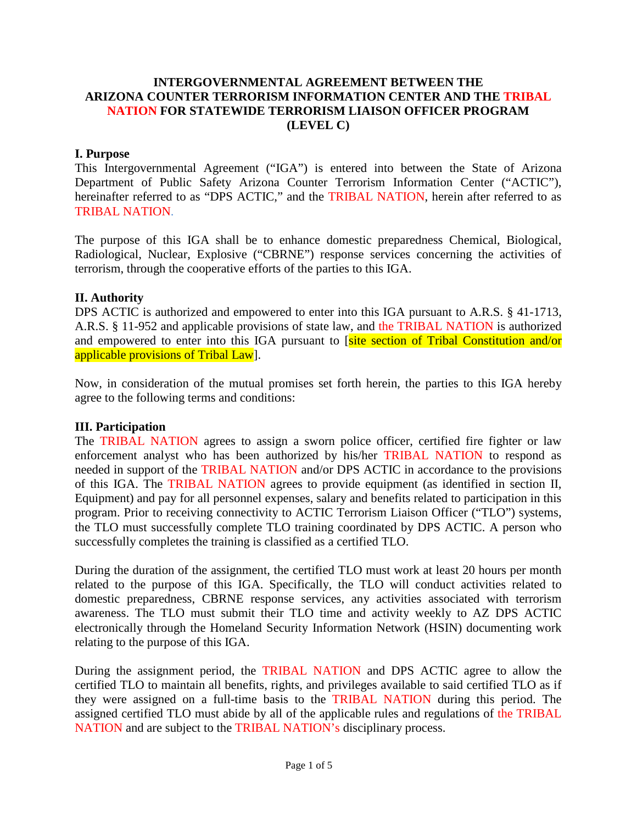#### **INTERGOVERNMENTAL AGREEMENT BETWEEN THE ARIZONA COUNTER TERRORISM INFORMATION CENTER AND THE TRIBAL NATION FOR STATEWIDE TERRORISM LIAISON OFFICER PROGRAM (LEVEL C)**

#### **I. Purpose**

This Intergovernmental Agreement ("IGA") is entered into between the State of Arizona Department of Public Safety Arizona Counter Terrorism Information Center ("ACTIC"), hereinafter referred to as "DPS ACTIC," and the TRIBAL NATION, herein after referred to as TRIBAL NATION.

The purpose of this IGA shall be to enhance domestic preparedness Chemical, Biological, Radiological, Nuclear, Explosive ("CBRNE") response services concerning the activities of terrorism, through the cooperative efforts of the parties to this IGA.

#### **II. Authority**

DPS ACTIC is authorized and empowered to enter into this IGA pursuant to A.R.S. § 41-1713, A.R.S. § 11-952 and applicable provisions of state law, and the TRIBAL NATION is authorized and empowered to enter into this IGA pursuant to [site section of Tribal Constitution and/or applicable provisions of Tribal Law<sup>]</sup>.

Now, in consideration of the mutual promises set forth herein, the parties to this IGA hereby agree to the following terms and conditions:

#### **III. Participation**

The TRIBAL NATION agrees to assign a sworn police officer, certified fire fighter or law enforcement analyst who has been authorized by his/her TRIBAL NATION to respond as needed in support of the TRIBAL NATION and/or DPS ACTIC in accordance to the provisions of this IGA. The TRIBAL NATION agrees to provide equipment (as identified in section II, Equipment) and pay for all personnel expenses, salary and benefits related to participation in this program. Prior to receiving connectivity to ACTIC Terrorism Liaison Officer ("TLO") systems, the TLO must successfully complete TLO training coordinated by DPS ACTIC. A person who successfully completes the training is classified as a certified TLO.

During the duration of the assignment, the certified TLO must work at least 20 hours per month related to the purpose of this IGA. Specifically, the TLO will conduct activities related to domestic preparedness, CBRNE response services, any activities associated with terrorism awareness. The TLO must submit their TLO time and activity weekly to AZ DPS ACTIC electronically through the Homeland Security Information Network (HSIN) documenting work relating to the purpose of this IGA.

During the assignment period, the TRIBAL NATION and DPS ACTIC agree to allow the certified TLO to maintain all benefits, rights, and privileges available to said certified TLO as if they were assigned on a full-time basis to the TRIBAL NATION during this period. The assigned certified TLO must abide by all of the applicable rules and regulations of the TRIBAL NATION and are subject to the TRIBAL NATION's disciplinary process.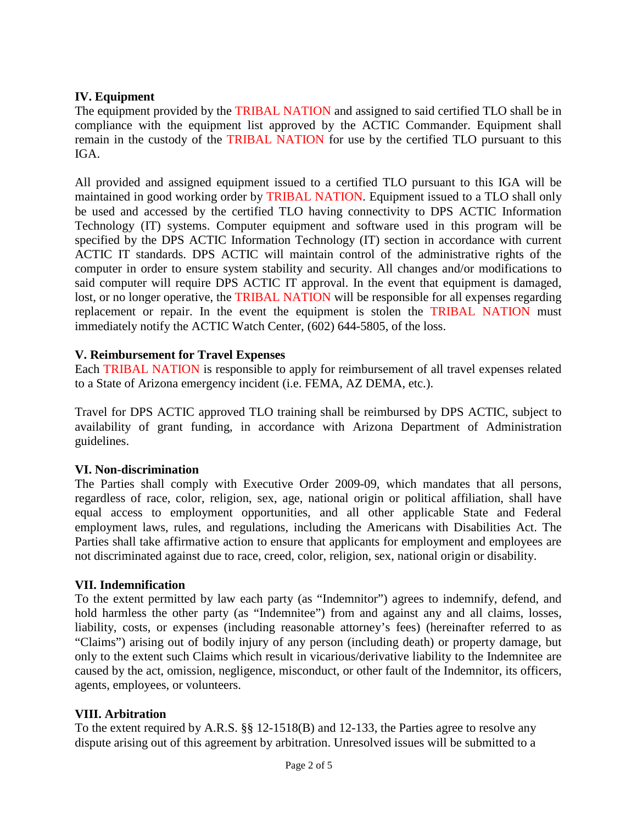#### **IV. Equipment**

The equipment provided by the TRIBAL NATION and assigned to said certified TLO shall be in compliance with the equipment list approved by the ACTIC Commander. Equipment shall remain in the custody of the TRIBAL NATION for use by the certified TLO pursuant to this IGA.

All provided and assigned equipment issued to a certified TLO pursuant to this IGA will be maintained in good working order by TRIBAL NATION. Equipment issued to a TLO shall only be used and accessed by the certified TLO having connectivity to DPS ACTIC Information Technology (IT) systems. Computer equipment and software used in this program will be specified by the DPS ACTIC Information Technology (IT) section in accordance with current ACTIC IT standards. DPS ACTIC will maintain control of the administrative rights of the computer in order to ensure system stability and security. All changes and/or modifications to said computer will require DPS ACTIC IT approval. In the event that equipment is damaged, lost, or no longer operative, the TRIBAL NATION will be responsible for all expenses regarding replacement or repair. In the event the equipment is stolen the TRIBAL NATION must immediately notify the ACTIC Watch Center, (602) 644-5805, of the loss.

#### **V. Reimbursement for Travel Expenses**

Each TRIBAL NATION is responsible to apply for reimbursement of all travel expenses related to a State of Arizona emergency incident (i.e. FEMA, AZ DEMA, etc.).

Travel for DPS ACTIC approved TLO training shall be reimbursed by DPS ACTIC, subject to availability of grant funding, in accordance with Arizona Department of Administration guidelines.

#### **VI. Non-discrimination**

The Parties shall comply with Executive Order 2009-09, which mandates that all persons, regardless of race, color, religion, sex, age, national origin or political affiliation, shall have equal access to employment opportunities, and all other applicable State and Federal employment laws, rules, and regulations, including the Americans with Disabilities Act. The Parties shall take affirmative action to ensure that applicants for employment and employees are not discriminated against due to race, creed, color, religion, sex, national origin or disability.

#### **VII. Indemnification**

To the extent permitted by law each party (as "Indemnitor") agrees to indemnify, defend, and hold harmless the other party (as "Indemnitee") from and against any and all claims, losses, liability, costs, or expenses (including reasonable attorney's fees) (hereinafter referred to as "Claims") arising out of bodily injury of any person (including death) or property damage, but only to the extent such Claims which result in vicarious/derivative liability to the Indemnitee are caused by the act, omission, negligence, misconduct, or other fault of the Indemnitor, its officers, agents, employees, or volunteers.

#### **VIII. Arbitration**

To the extent required by A.R.S. §§ 12-1518(B) and 12-133, the Parties agree to resolve any dispute arising out of this agreement by arbitration. Unresolved issues will be submitted to a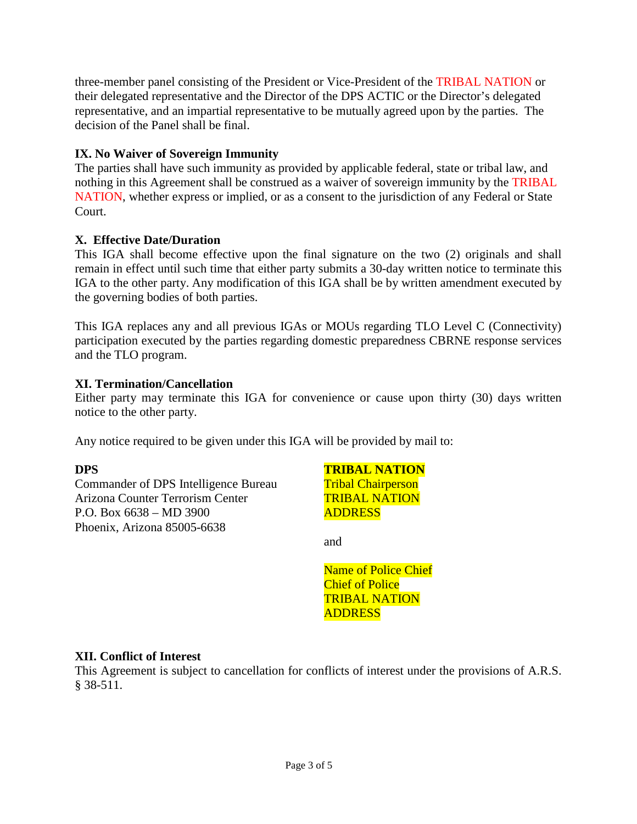three-member panel consisting of the President or Vice-President of the TRIBAL NATION or their delegated representative and the Director of the DPS ACTIC or the Director's delegated representative, and an impartial representative to be mutually agreed upon by the parties. The decision of the Panel shall be final.

## **IX. No Waiver of Sovereign Immunity**

The parties shall have such immunity as provided by applicable federal, state or tribal law, and nothing in this Agreement shall be construed as a waiver of sovereign immunity by the TRIBAL NATION, whether express or implied, or as a consent to the jurisdiction of any Federal or State Court.

### **X. Effective Date/Duration**

This IGA shall become effective upon the final signature on the two (2) originals and shall remain in effect until such time that either party submits a 30-day written notice to terminate this IGA to the other party. Any modification of this IGA shall be by written amendment executed by the governing bodies of both parties.

This IGA replaces any and all previous IGAs or MOUs regarding TLO Level C (Connectivity) participation executed by the parties regarding domestic preparedness CBRNE response services and the TLO program.

#### **XI. Termination/Cancellation**

Either party may terminate this IGA for convenience or cause upon thirty (30) days written notice to the other party.

Any notice required to be given under this IGA will be provided by mail to:

#### **DPS**

Commander of DPS Intelligence Bureau Arizona Counter Terrorism Center P.O. Box 6638 – MD 3900 Phoenix, Arizona 85005-6638

**TRIBAL NATION** Tribal Chairperson TRIBAL NATION ADDRESS

and

Name of Police Chief Chief of Police TRIBAL NATION ADDRESS

#### **XII. Conflict of Interest**

This Agreement is subject to cancellation for conflicts of interest under the provisions of A.R.S. § 38-511.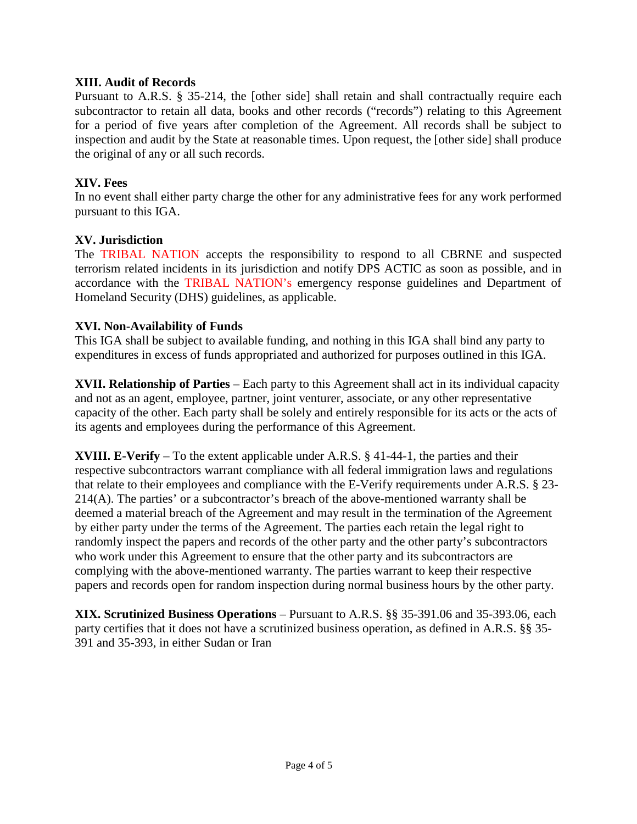#### **XIII. Audit of Records**

Pursuant to A.R.S. § 35-214, the [other side] shall retain and shall contractually require each subcontractor to retain all data, books and other records ("records") relating to this Agreement for a period of five years after completion of the Agreement. All records shall be subject to inspection and audit by the State at reasonable times. Upon request, the [other side] shall produce the original of any or all such records.

#### **XIV. Fees**

In no event shall either party charge the other for any administrative fees for any work performed pursuant to this IGA.

#### **XV. Jurisdiction**

The TRIBAL NATION accepts the responsibility to respond to all CBRNE and suspected terrorism related incidents in its jurisdiction and notify DPS ACTIC as soon as possible, and in accordance with the TRIBAL NATION's emergency response guidelines and Department of Homeland Security (DHS) guidelines, as applicable.

#### **XVI. Non-Availability of Funds**

This IGA shall be subject to available funding, and nothing in this IGA shall bind any party to expenditures in excess of funds appropriated and authorized for purposes outlined in this IGA.

**XVII. Relationship of Parties** – Each party to this Agreement shall act in its individual capacity and not as an agent, employee, partner, joint venturer, associate, or any other representative capacity of the other. Each party shall be solely and entirely responsible for its acts or the acts of its agents and employees during the performance of this Agreement.

**XVIII. E-Verify** – To the extent applicable under A.R.S. § 41-44-1, the parties and their respective subcontractors warrant compliance with all federal immigration laws and regulations that relate to their employees and compliance with the E-Verify requirements under A.R.S. § 23- 214(A). The parties' or a subcontractor's breach of the above-mentioned warranty shall be deemed a material breach of the Agreement and may result in the termination of the Agreement by either party under the terms of the Agreement. The parties each retain the legal right to randomly inspect the papers and records of the other party and the other party's subcontractors who work under this Agreement to ensure that the other party and its subcontractors are complying with the above-mentioned warranty. The parties warrant to keep their respective papers and records open for random inspection during normal business hours by the other party.

**XIX. Scrutinized Business Operations** – Pursuant to A.R.S. §§ 35-391.06 and 35-393.06, each party certifies that it does not have a scrutinized business operation, as defined in A.R.S. §§ 35- 391 and 35-393, in either Sudan or Iran